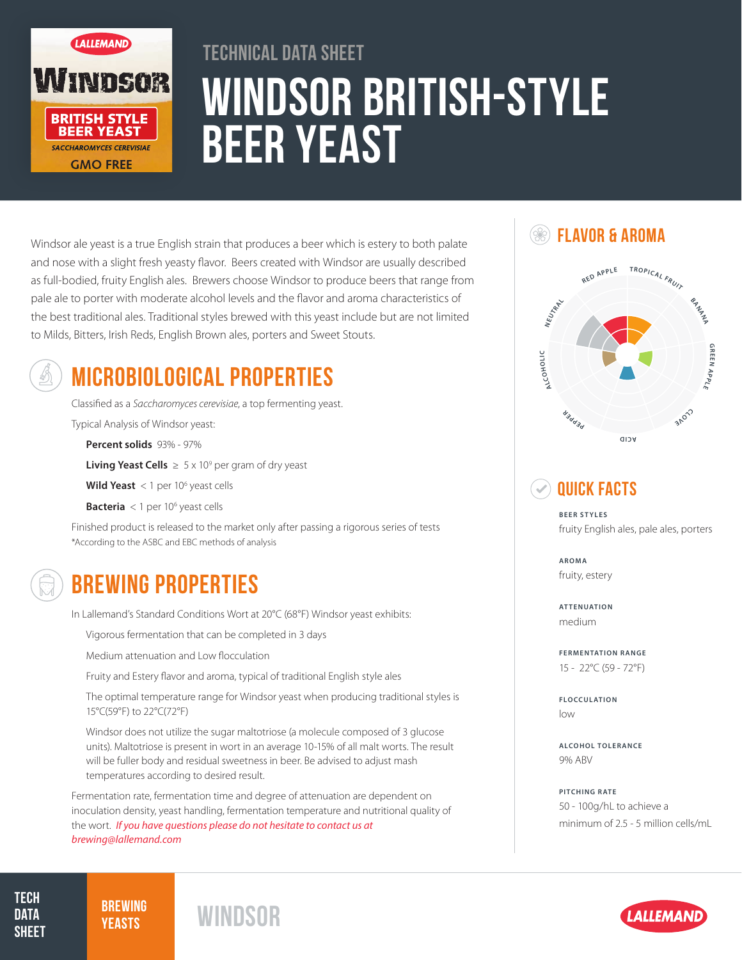

# Windsor British-Style Beer Yeast Technical Data Sheet

Windsor ale yeast is a true English strain that produces a beer which is estery to both palate and nose with a slight fresh yeasty flavor. Beers created with Windsor are usually described as full-bodied, fruity English ales. Brewers choose Windsor to produce beers that range from pale ale to porter with moderate alcohol levels and the flavor and aroma characteristics of the best traditional ales. Traditional styles brewed with this yeast include but are not limited to Milds, Bitters, Irish Reds, English Brown ales, porters and Sweet Stouts.



# MICROBIOLOGICAL PROPERTIES

Classified as a *Saccharomyces cerevisiae*, a top fermenting yeast.

Typical Analysis of Windsor yeast:

**Percent solids** 93% - 97%

**Living Yeast Cells**  $\geq 5 \times 10^9$  per gram of dry yeast

**Wild Yeast** < 1 per 10<sup>6</sup> yeast cells

**Bacteria** < 1 per 10<sup>6</sup> yeast cells

Finished product is released to the market only after passing a rigorous series of tests \*According to the ASBC and EBC methods of analysis



### BREWING PROPERTIES

In Lallemand's Standard Conditions Wort at 20°C (68°F) Windsor yeast exhibits:

Vigorous fermentation that can be completed in 3 days

Medium attenuation and Low flocculation

Fruity and Estery flavor and aroma, typical of traditional English style ales

The optimal temperature range for Windsor yeast when producing traditional styles is 15°C(59°F) to 22°C(72°F)

Windsor does not utilize the sugar maltotriose (a molecule composed of 3 glucose units). Maltotriose is present in wort in an average 10-15% of all malt worts. The result will be fuller body and residual sweetness in beer. Be advised to adjust mash temperatures according to desired result.

Fermentation rate, fermentation time and degree of attenuation are dependent on inoculation density, yeast handling, fermentation temperature and nutritional quality of the wort. *If you have questions please do not hesitate to contact us at brewing@lallemand.com*

**SEXT FLAVOR & AROMA** 



### Quick Facts

**BEER STYLES** fruity English ales, pale ales, porters

**AROMA** fruity, estery

**ATTENUATION** medium

**FERMENTATION RANGE** 15 - 22°C (59 - 72°F)

**FLOCCULATION** low

**ALCOHOL TOLERANCE** 9% ABV

**PITCHING RATE** 50 - 100g/hL to achieve a minimum of 2.5 - 5 million cells/mL

**TECH DATA SHEET** 

**BREWING**